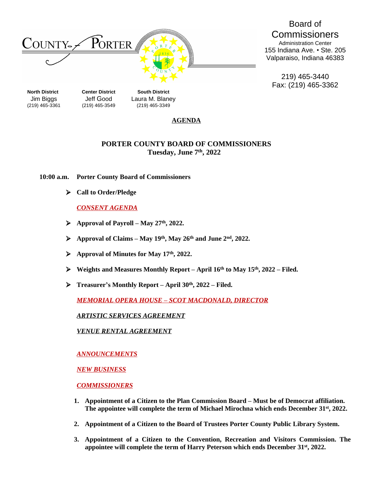

Board of **Commissioners** Administration Center 155 Indiana Ave. • Ste. 205 Valparaiso, Indiana 46383

219) 465-3440 Fax: (219) 465-3362

(219) 465-3361 (219) 465-3549 (219) 465-3349

**Jim Biggs Jeff Good Laura M. Blaney<br>(219) 465-3361 (219) 465-3549 (219) 465-3349** 

### **AGENDA**

# **PORTER COUNTY BOARD OF COMMISSIONERS Tuesday, June 7 th , 2022**

**10:00 a.m. Porter County Board of Commissioners**

**Call to Order/Pledge**

## *CONSENT AGENDA*

- **Approval of Payroll – May 27th , 2022.**
- **Approval of Claims – May 19 th , May 26th and June 2nd , 2022.**
- **Approval of Minutes for May 17 th , 2022.**
- **Weights and Measures Monthly Report – April 16th to May 15th, 2022 – Filed.**
- **Treasurer's Monthly Report – April 30th, 2022 – Filed.**

*MEMORIAL OPERA HOUSE – SCOT MACDONALD, DIRECTOR*

*ARTISTIC SERVICES AGREEMENT*

*VENUE RENTAL AGREEMENT*

*ANNOUNCEMENTS*

*NEW BUSINESS*

*COMMISSIONERS*

- **1.** Appointment of a Citizen to the Plan Commission Board Must be of Democrat affiliation. **The appointee will complete the term of Michael Mirochna which ends December 31st, 2022.**
- **2. Appointment of a Citizen to the Board of Trustees Porter County Public Library System.**
- **3. Appointment of a Citizen to the Convention, Recreation and Visitors Commission. The appointee will complete the term of Harry Peterson which ends December 31st, 2022.**